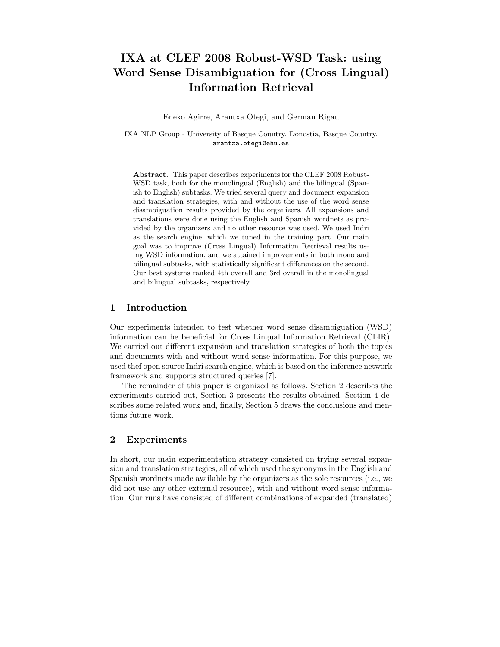# IXA at CLEF 2008 Robust-WSD Task: using Word Sense Disambiguation for (Cross Lingual) Information Retrieval

Eneko Agirre, Arantxa Otegi, and German Rigau

IXA NLP Group - University of Basque Country. Donostia, Basque Country. arantza.otegi@ehu.es

Abstract. This paper describes experiments for the CLEF 2008 Robust-WSD task, both for the monolingual (English) and the bilingual (Spanish to English) subtasks. We tried several query and document expansion and translation strategies, with and without the use of the word sense disambiguation results provided by the organizers. All expansions and translations were done using the English and Spanish wordnets as provided by the organizers and no other resource was used. We used Indri as the search engine, which we tuned in the training part. Our main goal was to improve (Cross Lingual) Information Retrieval results using WSD information, and we attained improvements in both mono and bilingual subtasks, with statistically significant differences on the second. Our best systems ranked 4th overall and 3rd overall in the monolingual and bilingual subtasks, respectively.

## 1 Introduction

Our experiments intended to test whether word sense disambiguation (WSD) information can be beneficial for Cross Lingual Information Retrieval (CLIR). We carried out different expansion and translation strategies of both the topics and documents with and without word sense information. For this purpose, we used thef open source Indri search engine, which is based on the inference network framework and supports structured queries [7].

The remainder of this paper is organized as follows. Section 2 describes the experiments carried out, Section 3 presents the results obtained, Section 4 describes some related work and, finally, Section 5 draws the conclusions and mentions future work.

# 2 Experiments

In short, our main experimentation strategy consisted on trying several expansion and translation strategies, all of which used the synonyms in the English and Spanish wordnets made available by the organizers as the sole resources (i.e., we did not use any other external resource), with and without word sense information. Our runs have consisted of different combinations of expanded (translated)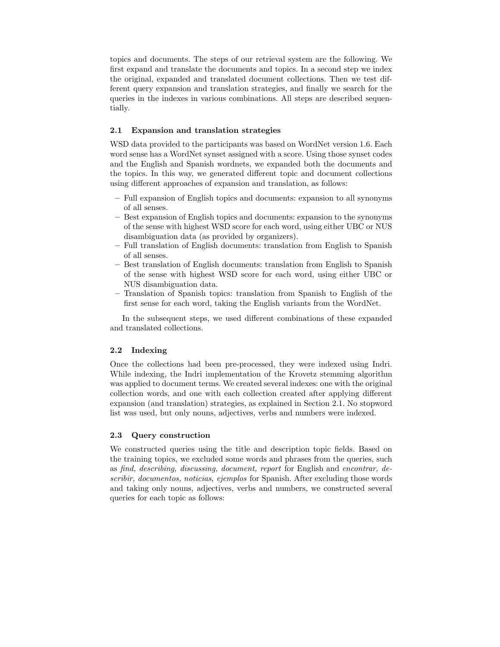topics and documents. The steps of our retrieval system are the following. We first expand and translate the documents and topics. In a second step we index the original, expanded and translated document collections. Then we test different query expansion and translation strategies, and finally we search for the queries in the indexes in various combinations. All steps are described sequentially.

# 2.1 Expansion and translation strategies

WSD data provided to the participants was based on WordNet version 1.6. Each word sense has a WordNet synset assigned with a score. Using those synset codes and the English and Spanish wordnets, we expanded both the documents and the topics. In this way, we generated different topic and document collections using different approaches of expansion and translation, as follows:

- Full expansion of English topics and documents: expansion to all synonyms of all senses.
- Best expansion of English topics and documents: expansion to the synonyms of the sense with highest WSD score for each word, using either UBC or NUS disambiguation data (as provided by organizers).
- Full translation of English documents: translation from English to Spanish of all senses.
- Best translation of English documents: translation from English to Spanish of the sense with highest WSD score for each word, using either UBC or NUS disambiguation data.
- Translation of Spanish topics: translation from Spanish to English of the first sense for each word, taking the English variants from the WordNet.

In the subsequent steps, we used different combinations of these expanded and translated collections.

## 2.2 Indexing

Once the collections had been pre-processed, they were indexed using Indri. While indexing, the Indri implementation of the Krovetz stemming algorithm was applied to document terms. We created several indexes: one with the original collection words, and one with each collection created after applying different expansion (and translation) strategies, as explained in Section 2.1. No stopword list was used, but only nouns, adjectives, verbs and numbers were indexed.

## 2.3 Query construction

We constructed queries using the title and description topic fields. Based on the training topics, we excluded some words and phrases from the queries, such as find, describing, discussing, document, report for English and encontrar, describir, documentos, noticias, ejemplos for Spanish. After excluding those words and taking only nouns, adjectives, verbs and numbers, we constructed several queries for each topic as follows: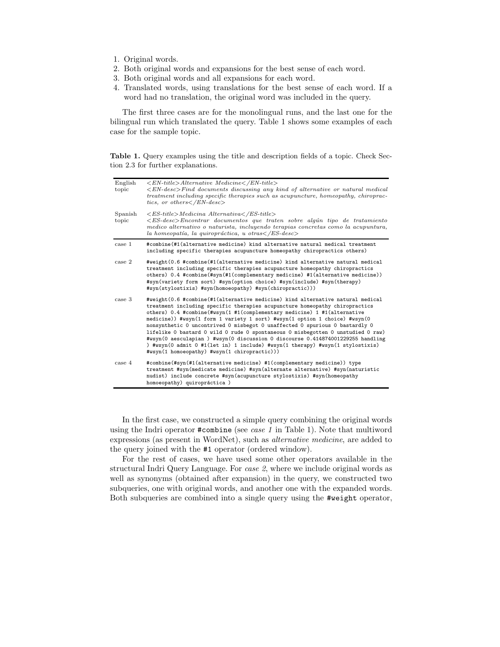- 1. Original words.
- 2. Both original words and expansions for the best sense of each word.
- 3. Both original words and all expansions for each word.
- 4. Translated words, using translations for the best sense of each word. If a word had no translation, the original word was included in the query.

The first three cases are for the monolingual runs, and the last one for the bilingual run which translated the query. Table 1 shows some examples of each case for the sample topic.

Table 1. Query examples using the title and description fields of a topic. Check Section 2.3 for further explanations.

| English<br>topic | $\langle EN\text{-}title\rangle$ Alternative Medicine $\langle$ /EN-title $\rangle$<br>$\langle EN\text{-}desc\text{-}Find$ documents discussing any kind of alternative or natural medical<br>treatment including specific therapies such as acupuncture, homeopathy, chiroprac-<br>tics, or others $\angle$ EN-desc>                                                                                                                                                                                                                                                                                                                                                                                          |
|------------------|-----------------------------------------------------------------------------------------------------------------------------------------------------------------------------------------------------------------------------------------------------------------------------------------------------------------------------------------------------------------------------------------------------------------------------------------------------------------------------------------------------------------------------------------------------------------------------------------------------------------------------------------------------------------------------------------------------------------|
| Spanish<br>topic | $\langle ES\text{-}title \rangle$ Medicina Alternativa $\langle /ES\text{-}title \rangle$<br>$\langle ES\text{-}desc\rangle\text{Encontrar}$ documentos que traten sobre algún tipo de tratamiento<br>medico alternativo o naturista, incluyendo terapias concretas como la acupuntura,<br>la homeopatía, la quiropráctica, u otras $\langle$ /ES-desc $\rangle$                                                                                                                                                                                                                                                                                                                                                |
| case 1           | #combine(#1(alternative medicine) kind alternative natural medical treatment<br>including specific therapies acupuncture homeopathy chiropractics others)                                                                                                                                                                                                                                                                                                                                                                                                                                                                                                                                                       |
| case 2           | #weight (0.6 #combine (#1 (alternative medicine) kind alternative natural medical<br>treatment including specific therapies acupuncture homeopathy chiropractics<br>others) 0.4 #combine(#syn(#1(complementary medicine) #1(alternative medicine))<br>#syn(variety form sort) #syn(option choice) #syn(include) #syn(therapy)<br>#syn(stylostixis) #syn(homoeopathy) #syn(chiropractic)))                                                                                                                                                                                                                                                                                                                       |
| case 3           | #weight (0.6 #combine (#1 (alternative medicine) kind alternative natural medical<br>treatment including specific therapies acupuncture homeopathy chiropractics<br>others) 0.4 #combine(#wsyn(1 #1(complementary medicine) 1 #1(alternative<br>medicine)) #wsyn(1 form 1 variety 1 sort) #wsyn(1 option 1 choice) #wsyn(0<br>nonsynthetic 0 uncontrived 0 misbegot 0 unaffected 0 spurious 0 bastardly 0<br>lifelike 0 bastard 0 wild 0 rude 0 spontaneous 0 misbegotten 0 unstudied 0 raw)<br>#wsyn(0 aesculapian) #wsyn(0 discussion 0 discourse 0.414874001229255 handling<br>) #wsyn(0 admit 0 #1(let in) 1 include) #wsyn(1 therapy) #wsyn(1 stylostixis)<br>#wsyn(1 homoeopathy) #wsyn(1 chiropractic))) |
| case 4           | #combine(#syn(#1(alternative medicine) #1(complementary medicine)) type<br>treatment #syn(medicate medicine) #syn(alternate alternative) #syn(naturistic<br>nudist) include concrete #syn(acupuncture stylostixis) #syn(homeopathy<br>homoeopathy) quiropráctica)                                                                                                                                                                                                                                                                                                                                                                                                                                               |

In the first case, we constructed a simple query combining the original words using the Indri operator #combine (see case 1 in Table 1). Note that multiword expressions (as present in WordNet), such as alternative medicine, are added to the query joined with the #1 operator (ordered window).

For the rest of cases, we have used some other operators available in the structural Indri Query Language. For case 2, where we include original words as well as synonyms (obtained after expansion) in the query, we constructed two subqueries, one with original words, and another one with the expanded words. Both subqueries are combined into a single query using the #weight operator,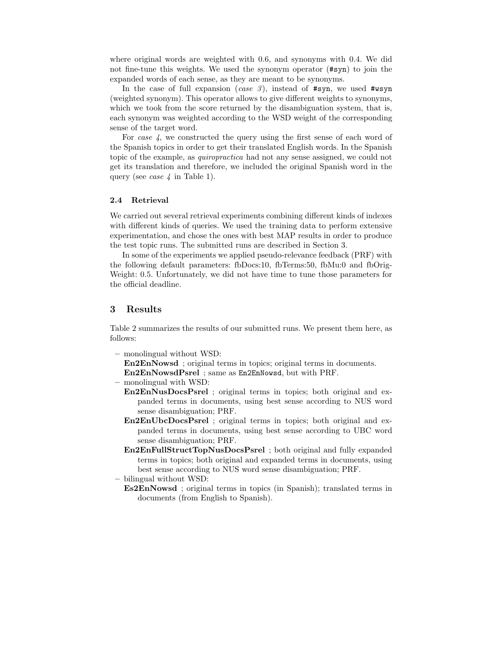where original words are weighted with 0.6, and synonyms with 0.4. We did not fine-tune this weights. We used the synonym operator (#syn) to join the expanded words of each sense, as they are meant to be synonyms.

In the case of full expansion (case 3), instead of  $#syn$ , we used  $#wsyn$ (weighted synonym). This operator allows to give different weights to synonyms, which we took from the score returned by the disambiguation system, that is, each synonym was weighted according to the WSD weight of the corresponding sense of the target word.

For case 4, we constructed the query using the first sense of each word of the Spanish topics in order to get their translated English words. In the Spanish topic of the example, as quiropractica had not any sense assigned, we could not get its translation and therefore, we included the original Spanish word in the query (see case 4 in Table 1).

#### 2.4 Retrieval

We carried out several retrieval experiments combining different kinds of indexes with different kinds of queries. We used the training data to perform extensive experimentation, and chose the ones with best MAP results in order to produce the test topic runs. The submitted runs are described in Section 3.

In some of the experiments we applied pseudo-relevance feedback (PRF) with the following default parameters: fbDocs:10, fbTerms:50, fbMu:0 and fbOrig-Weight: 0.5. Unfortunately, we did not have time to tune those parameters for the official deadline.

# 3 Results

Table 2 summarizes the results of our submitted runs. We present them here, as follows:

– monolingual without WSD:

En2EnNowsd ; original terms in topics; original terms in documents. En2EnNowsdPsrel ; same as En2EnNowsd, but with PRF.

- monolingual with WSD:
	- En2EnNusDocsPsrel ; original terms in topics; both original and expanded terms in documents, using best sense according to NUS word sense disambiguation; PRF.
	- En2EnUbcDocsPsrel ; original terms in topics; both original and expanded terms in documents, using best sense according to UBC word sense disambiguation; PRF.
	- En2EnFullStructTopNusDocsPsrel ; both original and fully expanded terms in topics; both original and expanded terms in documents, using best sense according to NUS word sense disambiguation; PRF.
- bilingual without WSD:
	- Es2EnNowsd ; original terms in topics (in Spanish); translated terms in documents (from English to Spanish).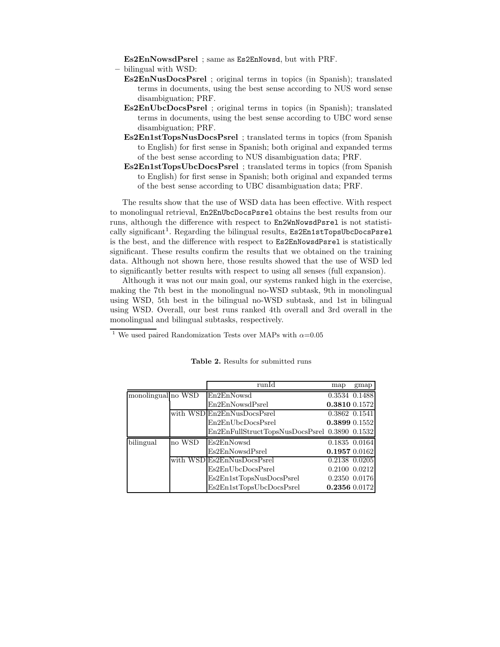Es2EnNowsdPsrel ; same as Es2EnNowsd, but with PRF.

- bilingual with WSD:
	- Es2EnNusDocsPsrel ; original terms in topics (in Spanish); translated terms in documents, using the best sense according to NUS word sense disambiguation; PRF.
	- Es2EnUbcDocsPsrel ; original terms in topics (in Spanish); translated terms in documents, using the best sense according to UBC word sense disambiguation; PRF.
	- Es2En1stTopsNusDocsPsrel ; translated terms in topics (from Spanish to English) for first sense in Spanish; both original and expanded terms of the best sense according to NUS disambiguation data; PRF.
	- Es2En1stTopsUbcDocsPsrel ; translated terms in topics (from Spanish to English) for first sense in Spanish; both original and expanded terms of the best sense according to UBC disambiguation data; PRF.

The results show that the use of WSD data has been effective. With respect to monolingual retrieval, En2EnUbcDocsPsrel obtains the best results from our runs, although the difference with respect to En2WnNowsdPsrel is not statistically significant<sup>1</sup>. Regarding the bilingual results, Es2En1stTopsUbcDocsPsre1 is the best, and the difference with respect to Es2EnNowsdPsrel is statistically significant. These results confirm the results that we obtained on the training data. Although not shown here, those results showed that the use of WSD led to significantly better results with respect to using all senses (full expansion).

Although it was not our main goal, our systems ranked high in the exercise, making the 7th best in the monolingual no-WSD subtask, 9th in monolingual using WSD, 5th best in the bilingual no-WSD subtask, and 1st in bilingual using WSD. Overall, our best runs ranked 4th overall and 3rd overall in the monolingual and bilingual subtasks, respectively.

<sup>1</sup> We used paired Randomization Tests over MAPs with  $\alpha$ =0.05

|                    |        | runId                                         | map           | gmap |
|--------------------|--------|-----------------------------------------------|---------------|------|
| monolingual no WSD |        | En2EnNowsd                                    | 0.3534 0.1488 |      |
|                    |        | En2EnNowsdPsrel                               | 0.3810 0.1572 |      |
|                    |        | with WSD En2EnNusDocsPsrel                    | 0.3862 0.1541 |      |
|                    |        | En2EnUbcDocsPsrel                             | 0.3899 0.1552 |      |
|                    |        | En2EnFullStructTopsNusDocsPsrel 0.3890 0.1532 |               |      |
| bilingual          | no WSD | Es2EnNowsd                                    | 0.1835 0.0164 |      |
|                    |        | Es2EnNowsdPsrel                               | 0.1957 0.0162 |      |
|                    |        | with WSD Es2EnNusDocsPsrel                    | 0.2138 0.0205 |      |
|                    |        | Es2EnUbcDocsPsrel                             | 0.2100 0.0212 |      |
|                    |        | Es2En1stTopsNusDocsPsrel                      | 0.2350 0.0176 |      |
|                    |        | Es2En1stTopsUbcDocsPsrel                      | 0.2356 0.0172 |      |

|  |  |  | <b>Table 2.</b> Results for submitted runs |  |
|--|--|--|--------------------------------------------|--|
|--|--|--|--------------------------------------------|--|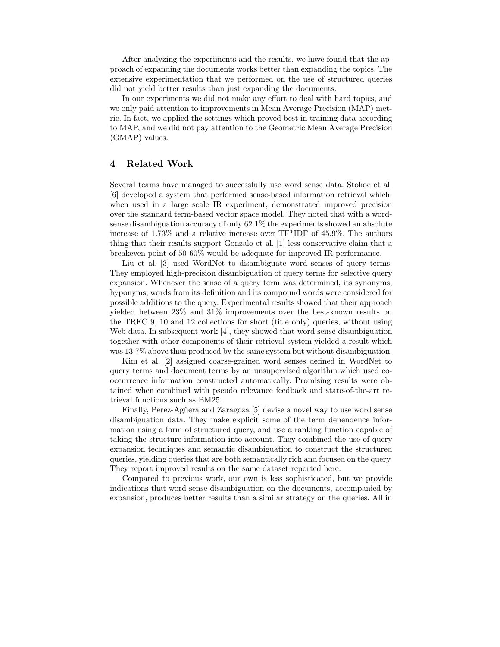After analyzing the experiments and the results, we have found that the approach of expanding the documents works better than expanding the topics. The extensive experimentation that we performed on the use of structured queries did not yield better results than just expanding the documents.

In our experiments we did not make any effort to deal with hard topics, and we only paid attention to improvements in Mean Average Precision (MAP) metric. In fact, we applied the settings which proved best in training data according to MAP, and we did not pay attention to the Geometric Mean Average Precision (GMAP) values.

# 4 Related Work

Several teams have managed to successfully use word sense data. Stokoe et al. [6] developed a system that performed sense-based information retrieval which, when used in a large scale IR experiment, demonstrated improved precision over the standard term-based vector space model. They noted that with a wordsense disambiguation accuracy of only 62.1% the experiments showed an absolute increase of 1.73% and a relative increase over TF\*IDF of 45.9%. The authors thing that their results support Gonzalo et al. [1] less conservative claim that a breakeven point of 50-60% would be adequate for improved IR performance.

Liu et al. [3] used WordNet to disambiguate word senses of query terms. They employed high-precision disambiguation of query terms for selective query expansion. Whenever the sense of a query term was determined, its synonyms, hyponyms, words from its definition and its compound words were considered for possible additions to the query. Experimental results showed that their approach yielded between 23% and 31% improvements over the best-known results on the TREC 9, 10 and 12 collections for short (title only) queries, without using Web data. In subsequent work [4], they showed that word sense disambiguation together with other components of their retrieval system yielded a result which was 13.7% above than produced by the same system but without disambiguation.

Kim et al. [2] assigned coarse-grained word senses defined in WordNet to query terms and document terms by an unsupervised algorithm which used cooccurrence information constructed automatically. Promising results were obtained when combined with pseudo relevance feedback and state-of-the-art retrieval functions such as BM25.

Finally, Pérez-Agüera and Zaragoza [5] devise a novel way to use word sense disambiguation data. They make explicit some of the term dependence information using a form of structured query, and use a ranking function capable of taking the structure information into account. They combined the use of query expansion techniques and semantic disambiguation to construct the structured queries, yielding queries that are both semantically rich and focused on the query. They report improved results on the same dataset reported here.

Compared to previous work, our own is less sophisticated, but we provide indications that word sense disambiguation on the documents, accompanied by expansion, produces better results than a similar strategy on the queries. All in